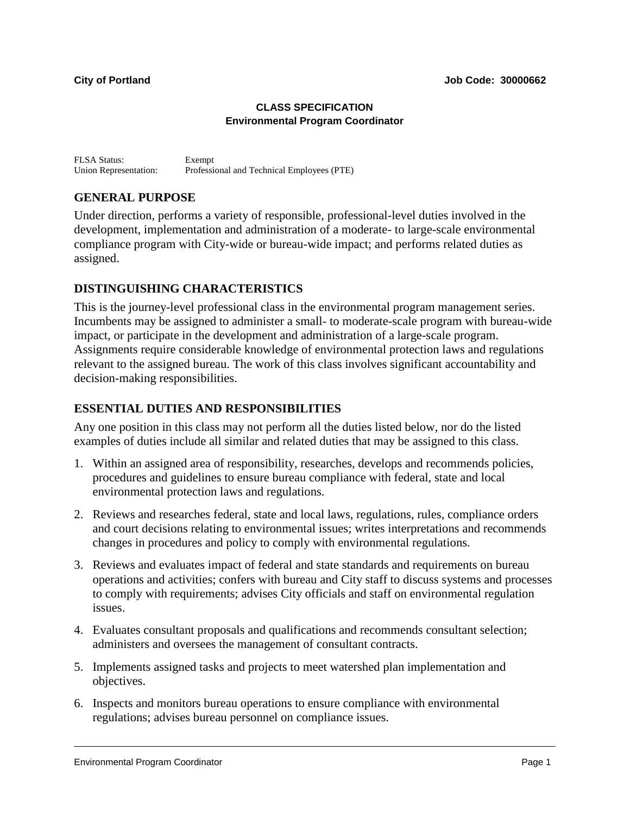#### **CLASS SPECIFICATION Environmental Program Coordinator**

FLSA Status: Exempt Union Representation: Professional and Technical Employees (PTE)

# **GENERAL PURPOSE**

Under direction, performs a variety of responsible, professional-level duties involved in the development, implementation and administration of a moderate- to large-scale environmental compliance program with City-wide or bureau-wide impact; and performs related duties as assigned.

# **DISTINGUISHING CHARACTERISTICS**

This is the journey-level professional class in the environmental program management series. Incumbents may be assigned to administer a small- to moderate-scale program with bureau-wide impact, or participate in the development and administration of a large-scale program. Assignments require considerable knowledge of environmental protection laws and regulations relevant to the assigned bureau. The work of this class involves significant accountability and decision-making responsibilities.

### **ESSENTIAL DUTIES AND RESPONSIBILITIES**

Any one position in this class may not perform all the duties listed below, nor do the listed examples of duties include all similar and related duties that may be assigned to this class.

- 1. Within an assigned area of responsibility, researches, develops and recommends policies, procedures and guidelines to ensure bureau compliance with federal, state and local environmental protection laws and regulations.
- 2. Reviews and researches federal, state and local laws, regulations, rules, compliance orders and court decisions relating to environmental issues; writes interpretations and recommends changes in procedures and policy to comply with environmental regulations.
- 3. Reviews and evaluates impact of federal and state standards and requirements on bureau operations and activities; confers with bureau and City staff to discuss systems and processes to comply with requirements; advises City officials and staff on environmental regulation issues.
- 4. Evaluates consultant proposals and qualifications and recommends consultant selection; administers and oversees the management of consultant contracts.
- 5. Implements assigned tasks and projects to meet watershed plan implementation and objectives.
- 6. Inspects and monitors bureau operations to ensure compliance with environmental regulations; advises bureau personnel on compliance issues.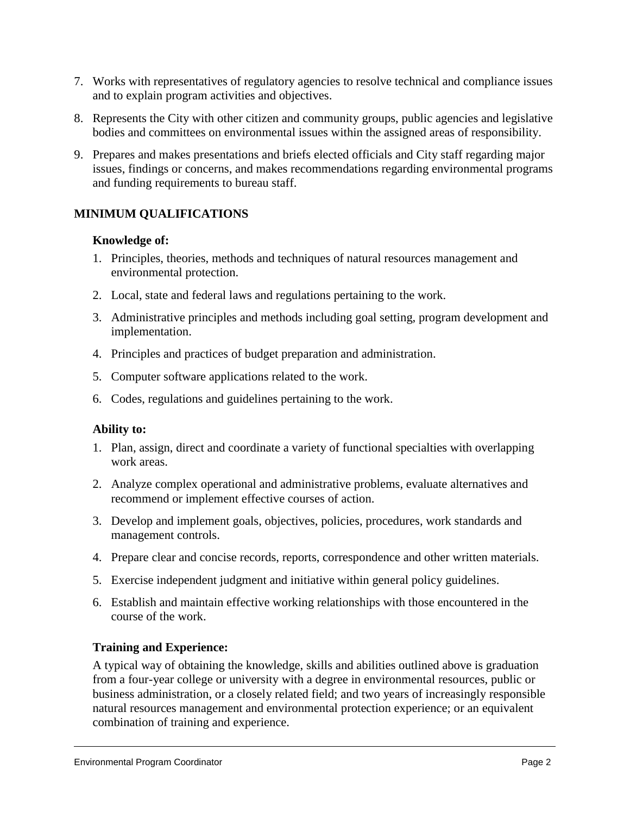- 7. Works with representatives of regulatory agencies to resolve technical and compliance issues and to explain program activities and objectives.
- 8. Represents the City with other citizen and community groups, public agencies and legislative bodies and committees on environmental issues within the assigned areas of responsibility.
- 9. Prepares and makes presentations and briefs elected officials and City staff regarding major issues, findings or concerns, and makes recommendations regarding environmental programs and funding requirements to bureau staff.

# **MINIMUM QUALIFICATIONS**

#### **Knowledge of:**

- 1. Principles, theories, methods and techniques of natural resources management and environmental protection.
- 2. Local, state and federal laws and regulations pertaining to the work.
- 3. Administrative principles and methods including goal setting, program development and implementation.
- 4. Principles and practices of budget preparation and administration.
- 5. Computer software applications related to the work.
- 6. Codes, regulations and guidelines pertaining to the work.

### **Ability to:**

- 1. Plan, assign, direct and coordinate a variety of functional specialties with overlapping work areas.
- 2. Analyze complex operational and administrative problems, evaluate alternatives and recommend or implement effective courses of action.
- 3. Develop and implement goals, objectives, policies, procedures, work standards and management controls.
- 4. Prepare clear and concise records, reports, correspondence and other written materials.
- 5. Exercise independent judgment and initiative within general policy guidelines.
- 6. Establish and maintain effective working relationships with those encountered in the course of the work.

### **Training and Experience:**

A typical way of obtaining the knowledge, skills and abilities outlined above is graduation from a four-year college or university with a degree in environmental resources, public or business administration, or a closely related field; and two years of increasingly responsible natural resources management and environmental protection experience; or an equivalent combination of training and experience.